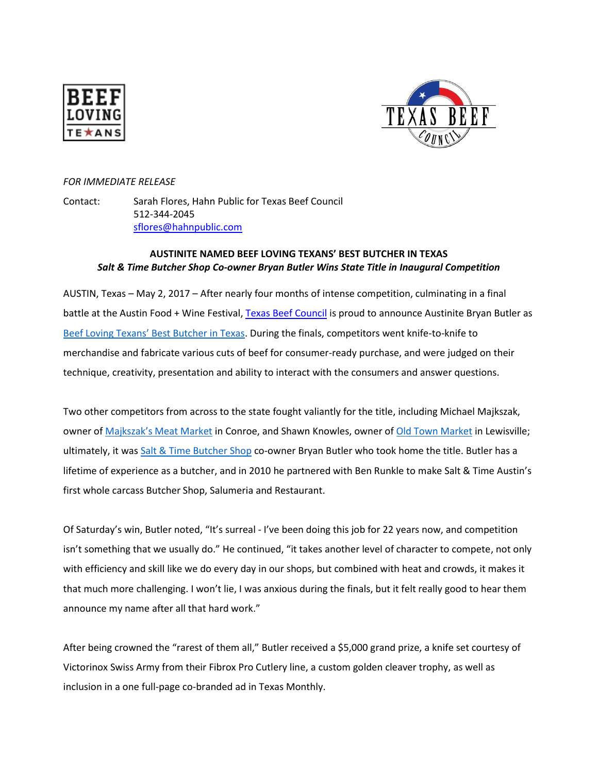



## *FOR IMMEDIATE RELEASE*

Contact: Sarah Flores, Hahn Public for Texas Beef Council 512-344-2045 [sflores@hahnpublic.com](mailto:sflores@hahnpublic.com)

## **AUSTINITE NAMED BEEF LOVING TEXANS' BEST BUTCHER IN TEXAS** *Salt & Time Butcher Shop Co-owner Bryan Butler Wins State Title in Inaugural Competition*

AUSTIN, Texas – May 2, 2017 – After nearly four months of intense competition, culminating in a final battle at the Austin Food + Wine Festival[, Texas Beef Council](http://www.beeflovingtexans.com/) is proud to announce Austinite Bryan Butler as [Beef Loving Texans' Best Butcher in Texas](http://beeflovingtexans.com/best-butcher-in-texas/). During the finals, competitors went knife-to-knife to merchandise and fabricate various cuts of beef for consumer-ready purchase, and were judged on their technique, creativity, presentation and ability to interact with the consumers and answer questions.

Two other competitors from across to the state fought valiantly for the title, including Michael Majkszak, owner of [Majkszak's Meat Market](http://www.majkszaksmeatmarket.net/) in Conroe, and Shawn Knowles, owner o[f Old Town Market](http://www.oldtownmkt.com/index.html) in Lewisville; ultimately, it was [Salt & Time Butcher Shop](http://www.saltandtime.com/) co-owner Bryan Butler who took home the title. Butler has a lifetime of experience as a butcher, and in 2010 he partnered with Ben Runkle to make Salt & Time Austin's first whole carcass Butcher Shop, Salumeria and Restaurant.

Of Saturday's win, Butler noted, "It's surreal - I've been doing this job for 22 years now, and competition isn't something that we usually do." He continued, "it takes another level of character to compete, not only with efficiency and skill like we do every day in our shops, but combined with heat and crowds, it makes it that much more challenging. I won't lie, I was anxious during the finals, but it felt really good to hear them announce my name after all that hard work."

After being crowned the "rarest of them all," Butler received a \$5,000 grand prize, a knife set courtesy of Victorinox Swiss Army from their Fibrox Pro Cutlery line, a custom golden cleaver trophy, as well as inclusion in a one full-page co-branded ad in Texas Monthly.